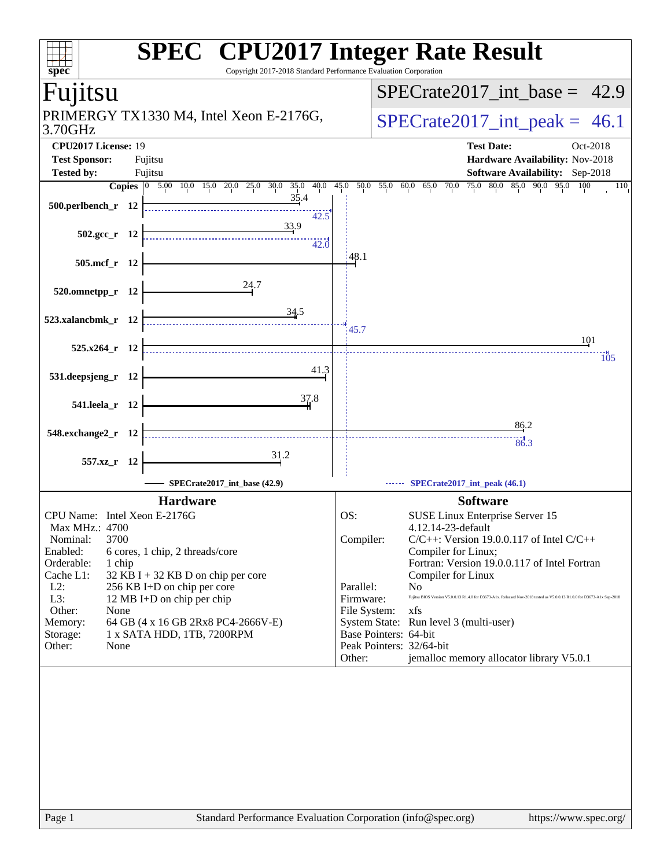| ਜ<br>spec<br>Copyright 2017-2018 Standard Performance Evaluation Corporation           | <b>SPEC<sup>®</sup> CPU2017 Integer Rate Result</b>                                                                                                          |
|----------------------------------------------------------------------------------------|--------------------------------------------------------------------------------------------------------------------------------------------------------------|
| Fujitsu                                                                                | $SPECrate2017\_int\_base = 42.9$                                                                                                                             |
| PRIMERGY TX1330 M4, Intel Xeon E-2176G,<br>3.70GHz                                     | $SPECrate2017\_int\_peak = 46.1$                                                                                                                             |
| CPU2017 License: 19<br><b>Test Sponsor:</b><br>Fujitsu<br><b>Tested by:</b><br>Fujitsu | <b>Test Date:</b><br>Oct-2018<br>Hardware Availability: Nov-2018<br><b>Software Availability:</b> Sep-2018                                                   |
| Copies 0 5.00 10.0 15.0 20.0 25.0 30.0 35.0 40.0 45.0 50.0 55.0 60.0                   | 75.0 80.0 85.0 90.0 95.0 100<br>65.0 70.0<br>110                                                                                                             |
| <u>35.4</u><br>500.perlbench_r 12<br>42.5                                              |                                                                                                                                                              |
| 33.9<br>$502.\text{sec}_r$ 12<br>42.0                                                  |                                                                                                                                                              |
| 505.mcf_r 12                                                                           | 48.1                                                                                                                                                         |
| 24.7<br>520.omnetpp_r 12                                                               |                                                                                                                                                              |
| 34.5<br>523.xalancbmk_r 12                                                             | 45.7                                                                                                                                                         |
| 525.x264_r 12                                                                          | 101<br>105                                                                                                                                                   |
| 41.3<br>531.deepsjeng_r 12                                                             |                                                                                                                                                              |
| 37.8<br>541.leela_r 12                                                                 |                                                                                                                                                              |
|                                                                                        | 86.2                                                                                                                                                         |
| 548.exchange2_r 12                                                                     | 86.3                                                                                                                                                         |
| 31.2<br>557.xz_r 12                                                                    |                                                                                                                                                              |
| SPECrate2017_int_base (42.9)                                                           | SPECrate2017_int_peak (46.1)                                                                                                                                 |
| <b>Hardware</b>                                                                        | <b>Software</b>                                                                                                                                              |
| CPU Name: Intel Xeon E-2176G                                                           | OS:<br>SUSE Linux Enterprise Server 15                                                                                                                       |
| Max MHz.: 4700                                                                         | 4.12.14-23-default                                                                                                                                           |
| Nominal:<br>3700                                                                       | Compiler:<br>$C/C++$ : Version 19.0.0.117 of Intel $C/C++$                                                                                                   |
| Enabled:<br>6 cores, 1 chip, 2 threads/core<br>Orderable:<br>1 chip                    | Compiler for Linux;<br>Fortran: Version 19.0.0.117 of Intel Fortran                                                                                          |
| Cache L1:<br>32 KB I + 32 KB D on chip per core                                        | Compiler for Linux                                                                                                                                           |
| $L2$ :<br>256 KB I+D on chip per core                                                  | Parallel:<br>No                                                                                                                                              |
| L3:<br>12 MB I+D on chip per chip<br>Other:<br>None                                    | Fujitsu BIOS Version V5.0.0.13 R1.4.0 for D3673-A1x. Released Nov-2018 tested as V5.0.0.13 R1.0.0 for D3673-A1x Sep-2018<br>Firmware:<br>File System:<br>xfs |
| 64 GB (4 x 16 GB 2Rx8 PC4-2666V-E)<br>Memory:                                          | System State: Run level 3 (multi-user)                                                                                                                       |
| 1 x SATA HDD, 1TB, 7200RPM<br>Storage:                                                 | Base Pointers: 64-bit                                                                                                                                        |
| Other:<br>None                                                                         | Peak Pointers: 32/64-bit<br>jemalloc memory allocator library V5.0.1<br>Other:                                                                               |
|                                                                                        |                                                                                                                                                              |
| Page 1                                                                                 | Standard Performance Evaluation Corporation (info@spec.org)<br>https://www.spec.org/                                                                         |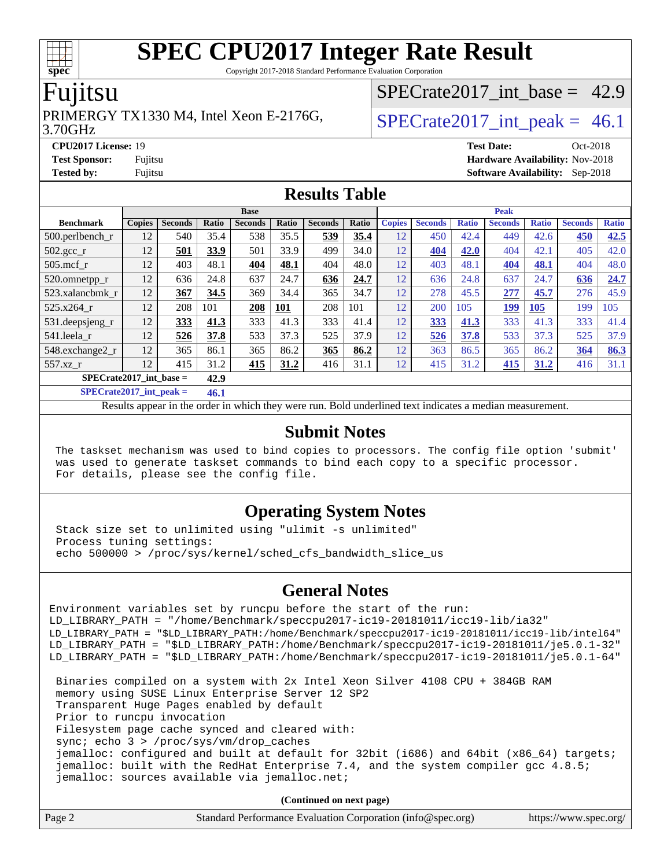Copyright 2017-2018 Standard Performance Evaluation Corporation

### Fujitsu

### PRIMERGY TX1330 M4, Intel Xeon E-2176G,  $\vert$  SPECrate2017 int peak = 46.1

SPECrate2017 int\_base =  $42.9$ 

#### 3.70GHz

**[CPU2017 License:](http://www.spec.org/auto/cpu2017/Docs/result-fields.html#CPU2017License)** 19 **[Test Date:](http://www.spec.org/auto/cpu2017/Docs/result-fields.html#TestDate)** Oct-2018

**[Test Sponsor:](http://www.spec.org/auto/cpu2017/Docs/result-fields.html#TestSponsor)** Fujitsu **[Hardware Availability:](http://www.spec.org/auto/cpu2017/Docs/result-fields.html#HardwareAvailability)** Nov-2018 **[Tested by:](http://www.spec.org/auto/cpu2017/Docs/result-fields.html#Testedby)** Fujitsu **[Software Availability:](http://www.spec.org/auto/cpu2017/Docs/result-fields.html#SoftwareAvailability)** Sep-2018

#### **[Results Table](http://www.spec.org/auto/cpu2017/Docs/result-fields.html#ResultsTable)**

|                           |               |                |       | <b>Base</b>    |       |                |       |               | <b>Peak</b>    |              |                |              |                |              |
|---------------------------|---------------|----------------|-------|----------------|-------|----------------|-------|---------------|----------------|--------------|----------------|--------------|----------------|--------------|
| <b>Benchmark</b>          | <b>Copies</b> | <b>Seconds</b> | Ratio | <b>Seconds</b> | Ratio | <b>Seconds</b> | Ratio | <b>Copies</b> | <b>Seconds</b> | <b>Ratio</b> | <b>Seconds</b> | <b>Ratio</b> | <b>Seconds</b> | <b>Ratio</b> |
| $500$ .perlbench r        | 12            | 540            | 35.4  | 538            | 35.5  | 539            | 35.4  | 12            | 450            | 42.4         | 449            | 42.6         | 450            | 42.5         |
| $502.\text{gcc}_{r}$      | 12            | 501            | 33.9  | 501            | 33.9  | 499            | 34.0  | 12            | <u>404</u>     | 42.0         | 404            | 42.1         | 405            | 42.0         |
| $505$ .mcf r              | 12            | 403            | 48.1  | 404            | 48.1  | 404            | 48.0  | 12            | 403            | 48.1         | 404            | 48.1         | 404            | 48.0         |
| 520.omnetpp_r             | 12            | 636            | 24.8  | 637            | 24.7  | 636            | 24.7  | 12            | 636            | 24.8         | 637            | 24.7         | 636            | 24.7         |
| 523.xalancbmk r           | 12            | 367            | 34.5  | 369            | 34.4  | 365            | 34.7  | 12            | 278            | 45.5         | 277            | 45.7         | 276            | 45.9         |
| 525.x264 r                | 12            | 208            | 101   | 208            | 101   | 208            | 101   | 12            | 200            | 105          | 199            | 105          | 199            | 105          |
| 531.deepsjeng_r           | 12            | 333            | 41.3  | 333            | 41.3  | 333            | 41.4  | 12            | 333            | 41.3         | 333            | 41.3         | 333            | 41.4         |
| 541.leela r               | 12            | 526            | 37.8  | 533            | 37.3  | 525            | 37.9  | 12            | 526            | 37.8         | 533            | 37.3         | 525            | 37.9         |
| 548.exchange2 r           | 12            | 365            | 86.1  | 365            | 86.2  | 365            | 86.2  | 12            | 363            | 86.5         | 365            | 86.2         | 364            | 86.3         |
| 557.xz r                  | 12            | 415            | 31.2  | 415            | 31.2  | 416            | 31.1  | 12            | 415            | 31.2         | 415            | 31.2         | 416            | 31.1         |
| $SPECrate2017$ int base = |               |                | 42.9  |                |       |                |       |               |                |              |                |              |                |              |

**[SPECrate2017\\_int\\_peak =](http://www.spec.org/auto/cpu2017/Docs/result-fields.html#SPECrate2017intpeak) 46.1**

Results appear in the [order in which they were run.](http://www.spec.org/auto/cpu2017/Docs/result-fields.html#RunOrder) Bold underlined text [indicates a median measurement.](http://www.spec.org/auto/cpu2017/Docs/result-fields.html#Median)

#### **[Submit Notes](http://www.spec.org/auto/cpu2017/Docs/result-fields.html#SubmitNotes)**

 The taskset mechanism was used to bind copies to processors. The config file option 'submit' was used to generate taskset commands to bind each copy to a specific processor. For details, please see the config file.

#### **[Operating System Notes](http://www.spec.org/auto/cpu2017/Docs/result-fields.html#OperatingSystemNotes)**

 Stack size set to unlimited using "ulimit -s unlimited" Process tuning settings: echo 500000 > /proc/sys/kernel/sched\_cfs\_bandwidth\_slice\_us

#### **[General Notes](http://www.spec.org/auto/cpu2017/Docs/result-fields.html#GeneralNotes)**

Environment variables set by runcpu before the start of the run: LD\_LIBRARY\_PATH = "/home/Benchmark/speccpu2017-ic19-20181011/icc19-lib/ia32" LD\_LIBRARY\_PATH = "\$LD\_LIBRARY\_PATH:/home/Benchmark/speccpu2017-ic19-20181011/icc19-lib/intel64" LD\_LIBRARY\_PATH = "\$LD\_LIBRARY\_PATH:/home/Benchmark/speccpu2017-ic19-20181011/je5.0.1-32" LD\_LIBRARY\_PATH = "\$LD\_LIBRARY\_PATH:/home/Benchmark/speccpu2017-ic19-20181011/je5.0.1-64"

 Binaries compiled on a system with 2x Intel Xeon Silver 4108 CPU + 384GB RAM memory using SUSE Linux Enterprise Server 12 SP2 Transparent Huge Pages enabled by default Prior to runcpu invocation Filesystem page cache synced and cleared with: sync; echo 3 > /proc/sys/vm/drop\_caches jemalloc: configured and built at default for 32bit (i686) and 64bit (x86\_64) targets; jemalloc: built with the RedHat Enterprise 7.4, and the system compiler gcc 4.8.5; jemalloc: sources available via jemalloc.net;

**(Continued on next page)**

| Page 2 | Standard Performance Evaluation Corporation (info@spec.org) | https://www.spec.org/ |
|--------|-------------------------------------------------------------|-----------------------|

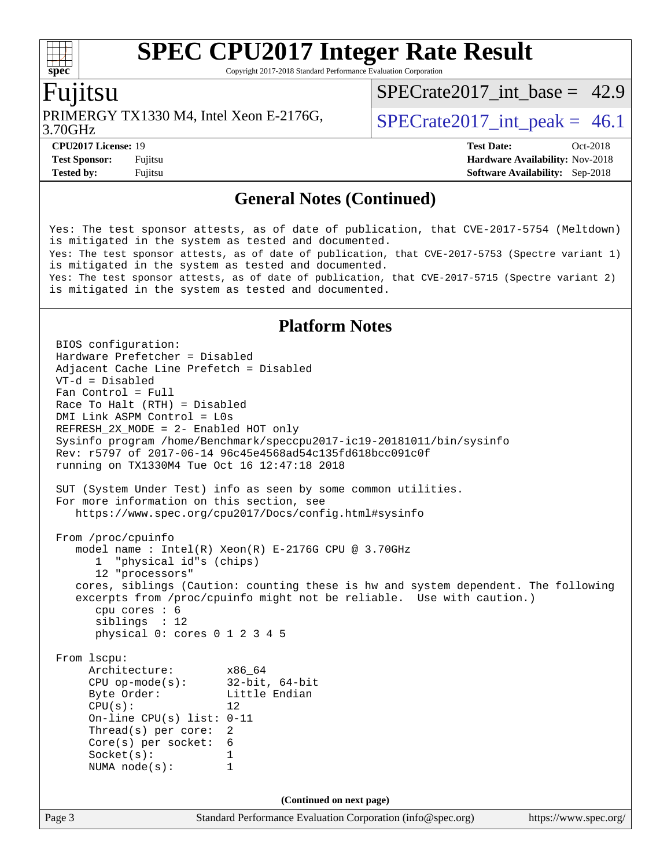Copyright 2017-2018 Standard Performance Evaluation Corporation

### Fujitsu

PRIMERGY TX1330 M4, Intel Xeon E-2176G,  $\vert$  SPECrate2017 int peak = 46.1

SPECrate2017 int\_base =  $42.9$ 

3.70GHz

**[Tested by:](http://www.spec.org/auto/cpu2017/Docs/result-fields.html#Testedby)** Fujitsu **[Software Availability:](http://www.spec.org/auto/cpu2017/Docs/result-fields.html#SoftwareAvailability)** Sep-2018

**[CPU2017 License:](http://www.spec.org/auto/cpu2017/Docs/result-fields.html#CPU2017License)** 19 **[Test Date:](http://www.spec.org/auto/cpu2017/Docs/result-fields.html#TestDate)** Oct-2018 **[Test Sponsor:](http://www.spec.org/auto/cpu2017/Docs/result-fields.html#TestSponsor)** Fujitsu **[Hardware Availability:](http://www.spec.org/auto/cpu2017/Docs/result-fields.html#HardwareAvailability)** Nov-2018

#### **[General Notes \(Continued\)](http://www.spec.org/auto/cpu2017/Docs/result-fields.html#GeneralNotes)**

Yes: The test sponsor attests, as of date of publication, that CVE-2017-5754 (Meltdown) is mitigated in the system as tested and documented. Yes: The test sponsor attests, as of date of publication, that CVE-2017-5753 (Spectre variant 1) is mitigated in the system as tested and documented. Yes: The test sponsor attests, as of date of publication, that CVE-2017-5715 (Spectre variant 2) is mitigated in the system as tested and documented.

#### **[Platform Notes](http://www.spec.org/auto/cpu2017/Docs/result-fields.html#PlatformNotes)**

Page 3 Standard Performance Evaluation Corporation [\(info@spec.org\)](mailto:info@spec.org) <https://www.spec.org/> BIOS configuration: Hardware Prefetcher = Disabled Adjacent Cache Line Prefetch = Disabled VT-d = Disabled Fan Control = Full Race To Halt (RTH) = Disabled DMI Link ASPM Control = L0s REFRESH\_2X\_MODE = 2- Enabled HOT only Sysinfo program /home/Benchmark/speccpu2017-ic19-20181011/bin/sysinfo Rev: r5797 of 2017-06-14 96c45e4568ad54c135fd618bcc091c0f running on TX1330M4 Tue Oct 16 12:47:18 2018 SUT (System Under Test) info as seen by some common utilities. For more information on this section, see <https://www.spec.org/cpu2017/Docs/config.html#sysinfo> From /proc/cpuinfo model name : Intel(R) Xeon(R) E-2176G CPU @ 3.70GHz 1 "physical id"s (chips) 12 "processors" cores, siblings (Caution: counting these is hw and system dependent. The following excerpts from /proc/cpuinfo might not be reliable. Use with caution.) cpu cores : 6 siblings : 12 physical 0: cores 0 1 2 3 4 5 From lscpu: Architecture: x86\_64<br>
CPU op-mode(s): 32-bit, 64-bit CPU op-mode $(s)$ : Byte Order: Little Endian  $CPU(s):$  12 On-line CPU(s) list: 0-11 Thread(s) per core: 2 Core(s) per socket: 6 Socket(s): 1 NUMA node(s): 1 **(Continued on next page)**

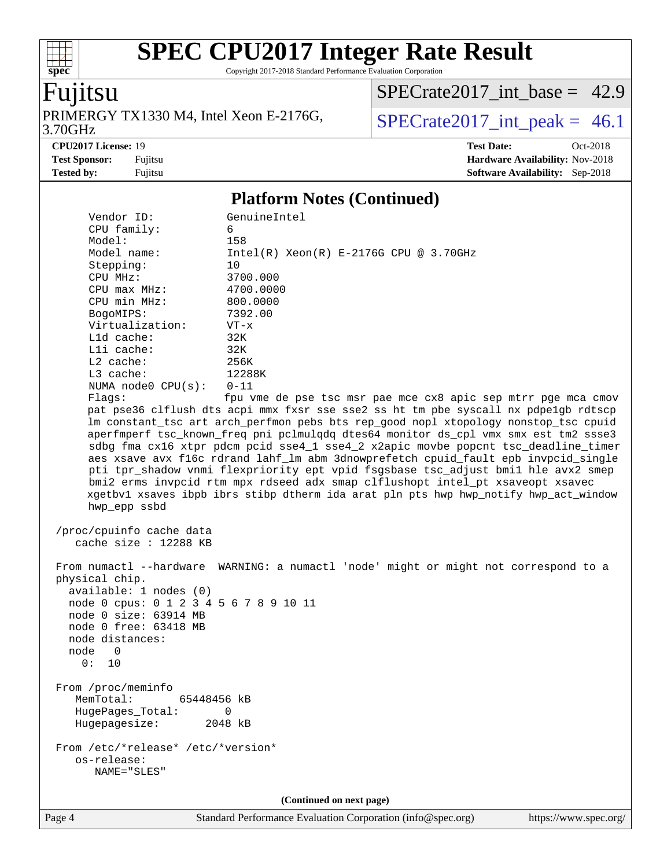Copyright 2017-2018 Standard Performance Evaluation Corporation

## Fujitsu

**[spec](http://www.spec.org/)**

 $+\ +$ 

PRIMERGY TX1330 M4, Intel Xeon E-2176G,<br>3.70GHz

[SPECrate2017\\_int\\_base =](http://www.spec.org/auto/cpu2017/Docs/result-fields.html#SPECrate2017intbase) 42.9

 $SPECTate 2017\_int\_peak = 46.1$ 

**[CPU2017 License:](http://www.spec.org/auto/cpu2017/Docs/result-fields.html#CPU2017License)** 19 **[Test Date:](http://www.spec.org/auto/cpu2017/Docs/result-fields.html#TestDate)** Oct-2018 **[Test Sponsor:](http://www.spec.org/auto/cpu2017/Docs/result-fields.html#TestSponsor)** Fujitsu **[Hardware Availability:](http://www.spec.org/auto/cpu2017/Docs/result-fields.html#HardwareAvailability)** Nov-2018 **[Tested by:](http://www.spec.org/auto/cpu2017/Docs/result-fields.html#Testedby)** Fujitsu **[Software Availability:](http://www.spec.org/auto/cpu2017/Docs/result-fields.html#SoftwareAvailability)** Sep-2018

#### **[Platform Notes \(Continued\)](http://www.spec.org/auto/cpu2017/Docs/result-fields.html#PlatformNotes)**

| Vendor ID:<br>CPU family:                                                                                                                                                  | GenuineIntel<br>6                                                                                                                                                                                                                                                                                                                                                                                                                                                                                                                                                                                                                                                                                         |
|----------------------------------------------------------------------------------------------------------------------------------------------------------------------------|-----------------------------------------------------------------------------------------------------------------------------------------------------------------------------------------------------------------------------------------------------------------------------------------------------------------------------------------------------------------------------------------------------------------------------------------------------------------------------------------------------------------------------------------------------------------------------------------------------------------------------------------------------------------------------------------------------------|
| Model:                                                                                                                                                                     | 158                                                                                                                                                                                                                                                                                                                                                                                                                                                                                                                                                                                                                                                                                                       |
| Model name:                                                                                                                                                                |                                                                                                                                                                                                                                                                                                                                                                                                                                                                                                                                                                                                                                                                                                           |
| Stepping:                                                                                                                                                                  | $Intel(R) Xeon(R) E-2176G CPU @ 3.70GHz$<br>10                                                                                                                                                                                                                                                                                                                                                                                                                                                                                                                                                                                                                                                            |
| CPU MHz:                                                                                                                                                                   | 3700.000                                                                                                                                                                                                                                                                                                                                                                                                                                                                                                                                                                                                                                                                                                  |
| $CPU$ max $MHz$ :                                                                                                                                                          |                                                                                                                                                                                                                                                                                                                                                                                                                                                                                                                                                                                                                                                                                                           |
| CPU min MHz:                                                                                                                                                               | 4700.0000                                                                                                                                                                                                                                                                                                                                                                                                                                                                                                                                                                                                                                                                                                 |
|                                                                                                                                                                            | 800.0000                                                                                                                                                                                                                                                                                                                                                                                                                                                                                                                                                                                                                                                                                                  |
| BogoMIPS:<br>Virtualization:                                                                                                                                               | 7392.00                                                                                                                                                                                                                                                                                                                                                                                                                                                                                                                                                                                                                                                                                                   |
| L1d cache:                                                                                                                                                                 | $VT - x$<br>32K                                                                                                                                                                                                                                                                                                                                                                                                                                                                                                                                                                                                                                                                                           |
| Lli cache:                                                                                                                                                                 | 32K                                                                                                                                                                                                                                                                                                                                                                                                                                                                                                                                                                                                                                                                                                       |
| L2 cache:                                                                                                                                                                  | 256K                                                                                                                                                                                                                                                                                                                                                                                                                                                                                                                                                                                                                                                                                                      |
| L3 cache:                                                                                                                                                                  | 12288K                                                                                                                                                                                                                                                                                                                                                                                                                                                                                                                                                                                                                                                                                                    |
| NUMA $node0$ $CPU(s)$ :                                                                                                                                                    | $0 - 11$                                                                                                                                                                                                                                                                                                                                                                                                                                                                                                                                                                                                                                                                                                  |
|                                                                                                                                                                            |                                                                                                                                                                                                                                                                                                                                                                                                                                                                                                                                                                                                                                                                                                           |
| Flags:                                                                                                                                                                     | fpu vme de pse tsc msr pae mce cx8 apic sep mtrr pge mca cmov                                                                                                                                                                                                                                                                                                                                                                                                                                                                                                                                                                                                                                             |
| hwp_epp ssbd                                                                                                                                                               | pat pse36 clflush dts acpi mmx fxsr sse sse2 ss ht tm pbe syscall nx pdpe1gb rdtscp<br>lm constant_tsc art arch_perfmon pebs bts rep_good nopl xtopology nonstop_tsc cpuid<br>aperfmperf tsc_known_freq pni pclmulqdq dtes64 monitor ds_cpl vmx smx est tm2 ssse3<br>sdbg fma cx16 xtpr pdcm pcid sse4_1 sse4_2 x2apic movbe popcnt tsc_deadline_timer<br>aes xsave avx f16c rdrand lahf_lm abm 3dnowprefetch cpuid_fault epb invpcid_single<br>pti tpr_shadow vnmi flexpriority ept vpid fsgsbase tsc_adjust bmil hle avx2 smep<br>bmi2 erms invpcid rtm mpx rdseed adx smap clflushopt intel_pt xsaveopt xsavec<br>xgetbvl xsaves ibpb ibrs stibp dtherm ida arat pln pts hwp hwp_notify hwp_act_window |
| /proc/cpuinfo cache data<br>cache size : $12288$ KB                                                                                                                        |                                                                                                                                                                                                                                                                                                                                                                                                                                                                                                                                                                                                                                                                                                           |
| physical chip.<br>available: 1 nodes (0)<br>node 0 cpus: 0 1 2 3 4 5 6 7 8 9 10 11<br>node 0 size: 63914 MB<br>node 0 free: 63418 MB<br>node distances:<br>node 0<br>0: 10 | From numactl --hardware WARNING: a numactl 'node' might or might not correspond to a                                                                                                                                                                                                                                                                                                                                                                                                                                                                                                                                                                                                                      |
| From /proc/meminfo<br>MemTotal:<br>65448456 kB<br>HugePages_Total:<br>Hugepagesize:                                                                                        | 0<br>2048 kB                                                                                                                                                                                                                                                                                                                                                                                                                                                                                                                                                                                                                                                                                              |
| From /etc/*release* /etc/*version*<br>os-release:<br>NAME="SLES"                                                                                                           |                                                                                                                                                                                                                                                                                                                                                                                                                                                                                                                                                                                                                                                                                                           |
|                                                                                                                                                                            | (Continued on next page)                                                                                                                                                                                                                                                                                                                                                                                                                                                                                                                                                                                                                                                                                  |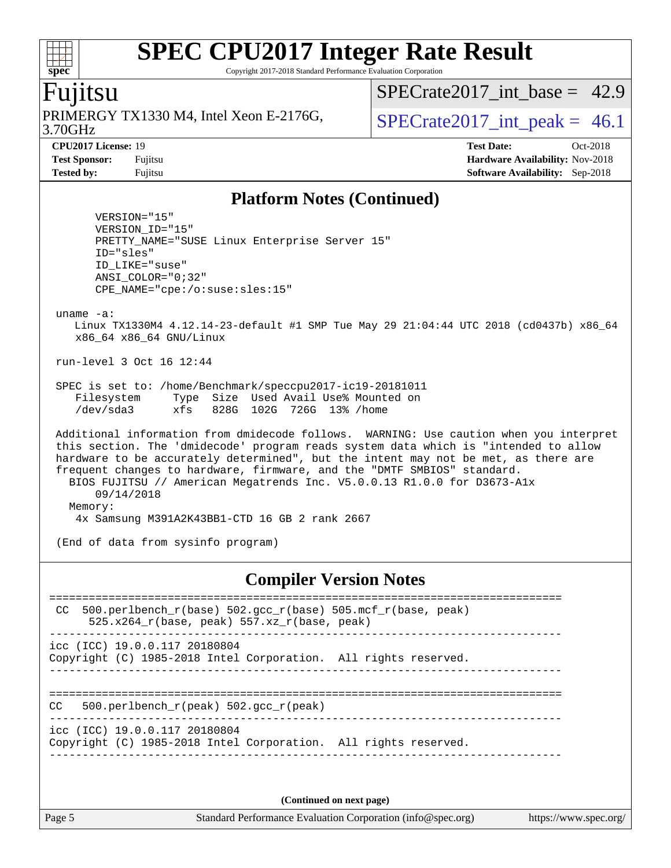Copyright 2017-2018 Standard Performance Evaluation Corporation

### Fujitsu

**[spec](http://www.spec.org/)**

3.70GHz PRIMERGY TX1330 M4, Intel Xeon E-2176G,  $\vert$  SPECrate2017 int peak = 46.1

SPECrate2017 int\_base =  $42.9$ 

**[CPU2017 License:](http://www.spec.org/auto/cpu2017/Docs/result-fields.html#CPU2017License)** 19 **[Test Date:](http://www.spec.org/auto/cpu2017/Docs/result-fields.html#TestDate)** Oct-2018 **[Test Sponsor:](http://www.spec.org/auto/cpu2017/Docs/result-fields.html#TestSponsor)** Fujitsu **[Hardware Availability:](http://www.spec.org/auto/cpu2017/Docs/result-fields.html#HardwareAvailability)** Nov-2018 **[Tested by:](http://www.spec.org/auto/cpu2017/Docs/result-fields.html#Testedby)** Fujitsu **[Software Availability:](http://www.spec.org/auto/cpu2017/Docs/result-fields.html#SoftwareAvailability)** Sep-2018

#### **[Platform Notes \(Continued\)](http://www.spec.org/auto/cpu2017/Docs/result-fields.html#PlatformNotes)**

 VERSION="15" VERSION\_ID="15" PRETTY\_NAME="SUSE Linux Enterprise Server 15" ID="sles" ID\_LIKE="suse" ANSI\_COLOR="0;32" CPE\_NAME="cpe:/o:suse:sles:15"

uname -a:

 Linux TX1330M4 4.12.14-23-default #1 SMP Tue May 29 21:04:44 UTC 2018 (cd0437b) x86\_64 x86\_64 x86\_64 GNU/Linux

run-level 3 Oct 16 12:44

 SPEC is set to: /home/Benchmark/speccpu2017-ic19-20181011 Filesystem Type Size Used Avail Use% Mounted on /dev/sda3 xfs 828G 102G 726G 13% /home

 Additional information from dmidecode follows. WARNING: Use caution when you interpret this section. The 'dmidecode' program reads system data which is "intended to allow hardware to be accurately determined", but the intent may not be met, as there are frequent changes to hardware, firmware, and the "DMTF SMBIOS" standard. BIOS FUJITSU // American Megatrends Inc. V5.0.0.13 R1.0.0 for D3673-A1x 09/14/2018 Memory: 4x Samsung M391A2K43BB1-CTD 16 GB 2 rank 2667

(End of data from sysinfo program)

#### **[Compiler Version Notes](http://www.spec.org/auto/cpu2017/Docs/result-fields.html#CompilerVersionNotes)**

| 500.perlbench $r(base)$ 502.gcc $r(base)$ 505.mcf $r(base, peak)$<br>CC<br>$525.x264$ r(base, peak) $557.xz$ r(base, peak) |  |
|----------------------------------------------------------------------------------------------------------------------------|--|
| $\text{icc}$ (ICC) 19.0.0.117 20180804<br>Copyright (C) 1985-2018 Intel Corporation. All rights reserved.                  |  |
| 500.perlbench $r(\text{peak})$ 502.gcc $r(\text{peak})$<br>CC.                                                             |  |
| $\text{icc}$ (ICC) 19.0.0.117 20180804<br>Copyright (C) 1985-2018 Intel Corporation. All rights reserved.                  |  |
|                                                                                                                            |  |

**(Continued on next page)**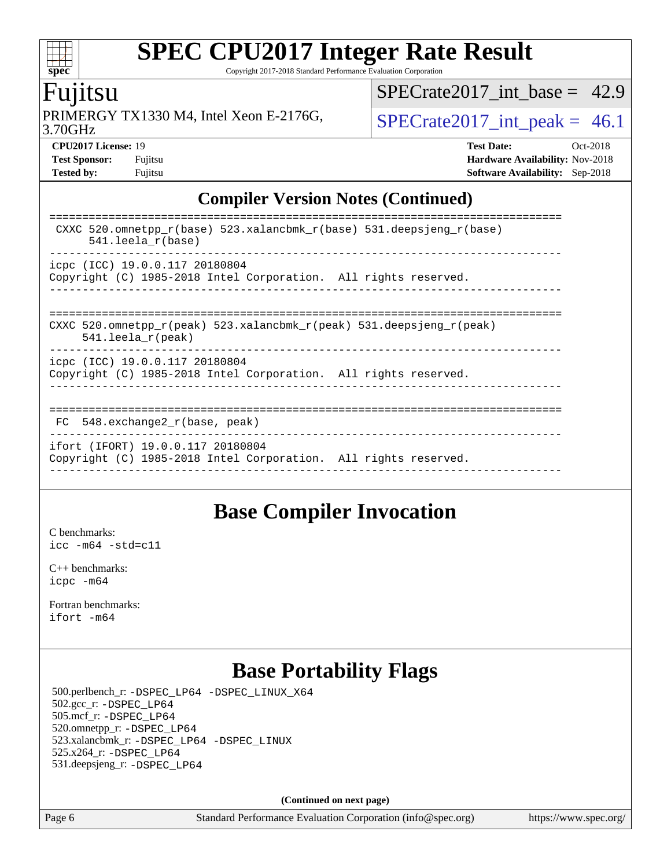Copyright 2017-2018 Standard Performance Evaluation Corporation

## Fujitsu

**[spec](http://www.spec.org/)**

 $\pm\pm\prime$ 

3.70GHz PRIMERGY TX1330 M4, Intel Xeon E-2176G,  $\vert$  [SPECrate2017\\_int\\_peak =](http://www.spec.org/auto/cpu2017/Docs/result-fields.html#SPECrate2017intpeak) 46.1

SPECrate2017 int\_base =  $42.9$ 

**[CPU2017 License:](http://www.spec.org/auto/cpu2017/Docs/result-fields.html#CPU2017License)** 19 **[Test Date:](http://www.spec.org/auto/cpu2017/Docs/result-fields.html#TestDate)** Oct-2018 **[Test Sponsor:](http://www.spec.org/auto/cpu2017/Docs/result-fields.html#TestSponsor)** Fujitsu **[Hardware Availability:](http://www.spec.org/auto/cpu2017/Docs/result-fields.html#HardwareAvailability)** Nov-2018 **[Tested by:](http://www.spec.org/auto/cpu2017/Docs/result-fields.html#Testedby)** Fujitsu **[Software Availability:](http://www.spec.org/auto/cpu2017/Docs/result-fields.html#SoftwareAvailability)** Sep-2018

### **[Compiler Version Notes \(Continued\)](http://www.spec.org/auto/cpu2017/Docs/result-fields.html#CompilerVersionNotes)**

| CXXC 520.omnetpp $r(base)$ 523.xalancbmk $r(base)$ 531.deepsjeng $r(base)$<br>$541.$ leela r(base)                      |
|-------------------------------------------------------------------------------------------------------------------------|
| icpc (ICC) 19.0.0.117 20180804<br>Copyright (C) 1985-2018 Intel Corporation. All rights reserved.                       |
| CXXC 520.omnetpp $r(\text{peak})$ 523.xalancbmk $r(\text{peak})$ 531.deepsjeng $r(\text{peak})$<br>$541.$ leela r(peak) |
| icpc (ICC) 19.0.0.117 20180804<br>Copyright (C) 1985-2018 Intel Corporation. All rights reserved.                       |
| 548.exchange2 r(base, peak)<br>FC.                                                                                      |
| ifort (IFORT) 19.0.0.117 20180804<br>Copyright (C) 1985-2018 Intel Corporation. All rights reserved.                    |

## **[Base Compiler Invocation](http://www.spec.org/auto/cpu2017/Docs/result-fields.html#BaseCompilerInvocation)**

[C benchmarks](http://www.spec.org/auto/cpu2017/Docs/result-fields.html#Cbenchmarks): [icc -m64 -std=c11](http://www.spec.org/cpu2017/results/res2018q4/cpu2017-20181030-09470.flags.html#user_CCbase_intel_icc_64bit_c11_33ee0cdaae7deeeab2a9725423ba97205ce30f63b9926c2519791662299b76a0318f32ddfffdc46587804de3178b4f9328c46fa7c2b0cd779d7a61945c91cd35)

[C++ benchmarks:](http://www.spec.org/auto/cpu2017/Docs/result-fields.html#CXXbenchmarks) [icpc -m64](http://www.spec.org/cpu2017/results/res2018q4/cpu2017-20181030-09470.flags.html#user_CXXbase_intel_icpc_64bit_4ecb2543ae3f1412ef961e0650ca070fec7b7afdcd6ed48761b84423119d1bf6bdf5cad15b44d48e7256388bc77273b966e5eb805aefd121eb22e9299b2ec9d9)

[Fortran benchmarks](http://www.spec.org/auto/cpu2017/Docs/result-fields.html#Fortranbenchmarks): [ifort -m64](http://www.spec.org/cpu2017/results/res2018q4/cpu2017-20181030-09470.flags.html#user_FCbase_intel_ifort_64bit_24f2bb282fbaeffd6157abe4f878425411749daecae9a33200eee2bee2fe76f3b89351d69a8130dd5949958ce389cf37ff59a95e7a40d588e8d3a57e0c3fd751)

## **[Base Portability Flags](http://www.spec.org/auto/cpu2017/Docs/result-fields.html#BasePortabilityFlags)**

 500.perlbench\_r: [-DSPEC\\_LP64](http://www.spec.org/cpu2017/results/res2018q4/cpu2017-20181030-09470.flags.html#b500.perlbench_r_basePORTABILITY_DSPEC_LP64) [-DSPEC\\_LINUX\\_X64](http://www.spec.org/cpu2017/results/res2018q4/cpu2017-20181030-09470.flags.html#b500.perlbench_r_baseCPORTABILITY_DSPEC_LINUX_X64) 502.gcc\_r: [-DSPEC\\_LP64](http://www.spec.org/cpu2017/results/res2018q4/cpu2017-20181030-09470.flags.html#suite_basePORTABILITY502_gcc_r_DSPEC_LP64) 505.mcf\_r: [-DSPEC\\_LP64](http://www.spec.org/cpu2017/results/res2018q4/cpu2017-20181030-09470.flags.html#suite_basePORTABILITY505_mcf_r_DSPEC_LP64) 520.omnetpp\_r: [-DSPEC\\_LP64](http://www.spec.org/cpu2017/results/res2018q4/cpu2017-20181030-09470.flags.html#suite_basePORTABILITY520_omnetpp_r_DSPEC_LP64) 523.xalancbmk\_r: [-DSPEC\\_LP64](http://www.spec.org/cpu2017/results/res2018q4/cpu2017-20181030-09470.flags.html#suite_basePORTABILITY523_xalancbmk_r_DSPEC_LP64) [-DSPEC\\_LINUX](http://www.spec.org/cpu2017/results/res2018q4/cpu2017-20181030-09470.flags.html#b523.xalancbmk_r_baseCXXPORTABILITY_DSPEC_LINUX) 525.x264\_r: [-DSPEC\\_LP64](http://www.spec.org/cpu2017/results/res2018q4/cpu2017-20181030-09470.flags.html#suite_basePORTABILITY525_x264_r_DSPEC_LP64) 531.deepsjeng\_r: [-DSPEC\\_LP64](http://www.spec.org/cpu2017/results/res2018q4/cpu2017-20181030-09470.flags.html#suite_basePORTABILITY531_deepsjeng_r_DSPEC_LP64)

**(Continued on next page)**

Page 6 Standard Performance Evaluation Corporation [\(info@spec.org\)](mailto:info@spec.org) <https://www.spec.org/>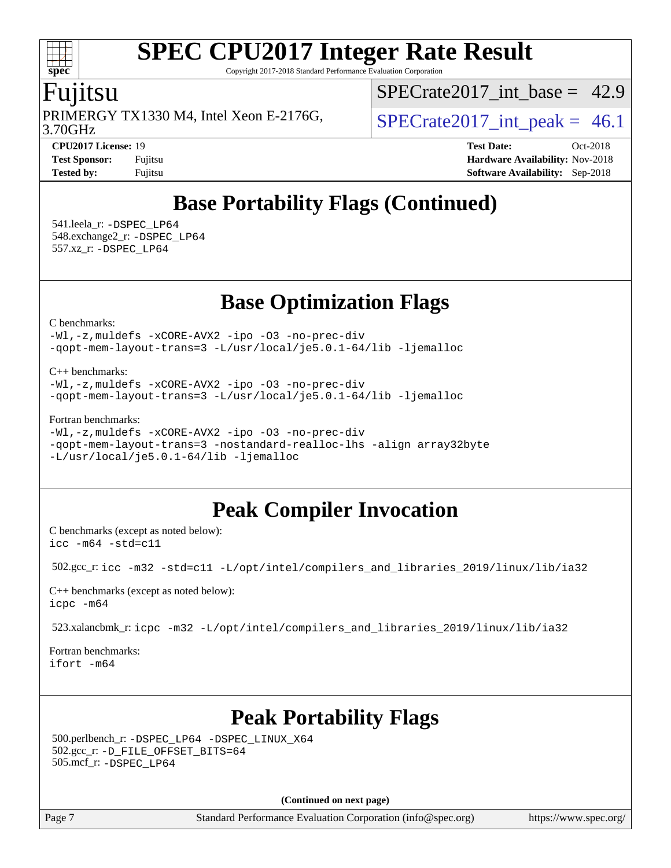Copyright 2017-2018 Standard Performance Evaluation Corporation

### Fujitsu

**[spec](http://www.spec.org/)**

3.70GHz PRIMERGY TX1330 M4, Intel Xeon E-2176G,  $\vert$  SPECrate2017 int peak = 46.1

SPECrate2017 int\_base =  $42.9$ 

**[CPU2017 License:](http://www.spec.org/auto/cpu2017/Docs/result-fields.html#CPU2017License)** 19 **[Test Date:](http://www.spec.org/auto/cpu2017/Docs/result-fields.html#TestDate)** Oct-2018 **[Test Sponsor:](http://www.spec.org/auto/cpu2017/Docs/result-fields.html#TestSponsor)** Fujitsu **[Hardware Availability:](http://www.spec.org/auto/cpu2017/Docs/result-fields.html#HardwareAvailability)** Nov-2018 **[Tested by:](http://www.spec.org/auto/cpu2017/Docs/result-fields.html#Testedby)** Fujitsu **[Software Availability:](http://www.spec.org/auto/cpu2017/Docs/result-fields.html#SoftwareAvailability)** Sep-2018

## **[Base Portability Flags \(Continued\)](http://www.spec.org/auto/cpu2017/Docs/result-fields.html#BasePortabilityFlags)**

 541.leela\_r: [-DSPEC\\_LP64](http://www.spec.org/cpu2017/results/res2018q4/cpu2017-20181030-09470.flags.html#suite_basePORTABILITY541_leela_r_DSPEC_LP64) 548.exchange2\_r: [-DSPEC\\_LP64](http://www.spec.org/cpu2017/results/res2018q4/cpu2017-20181030-09470.flags.html#suite_basePORTABILITY548_exchange2_r_DSPEC_LP64) 557.xz\_r: [-DSPEC\\_LP64](http://www.spec.org/cpu2017/results/res2018q4/cpu2017-20181030-09470.flags.html#suite_basePORTABILITY557_xz_r_DSPEC_LP64)

## **[Base Optimization Flags](http://www.spec.org/auto/cpu2017/Docs/result-fields.html#BaseOptimizationFlags)**

[C benchmarks](http://www.spec.org/auto/cpu2017/Docs/result-fields.html#Cbenchmarks):

[-Wl,-z,muldefs](http://www.spec.org/cpu2017/results/res2018q4/cpu2017-20181030-09470.flags.html#user_CCbase_link_force_multiple1_b4cbdb97b34bdee9ceefcfe54f4c8ea74255f0b02a4b23e853cdb0e18eb4525ac79b5a88067c842dd0ee6996c24547a27a4b99331201badda8798ef8a743f577) [-xCORE-AVX2](http://www.spec.org/cpu2017/results/res2018q4/cpu2017-20181030-09470.flags.html#user_CCbase_f-xCORE-AVX2) [-ipo](http://www.spec.org/cpu2017/results/res2018q4/cpu2017-20181030-09470.flags.html#user_CCbase_f-ipo) [-O3](http://www.spec.org/cpu2017/results/res2018q4/cpu2017-20181030-09470.flags.html#user_CCbase_f-O3) [-no-prec-div](http://www.spec.org/cpu2017/results/res2018q4/cpu2017-20181030-09470.flags.html#user_CCbase_f-no-prec-div) [-qopt-mem-layout-trans=3](http://www.spec.org/cpu2017/results/res2018q4/cpu2017-20181030-09470.flags.html#user_CCbase_f-qopt-mem-layout-trans_de80db37974c74b1f0e20d883f0b675c88c3b01e9d123adea9b28688d64333345fb62bc4a798493513fdb68f60282f9a726aa07f478b2f7113531aecce732043) [-L/usr/local/je5.0.1-64/lib](http://www.spec.org/cpu2017/results/res2018q4/cpu2017-20181030-09470.flags.html#user_CCbase_jemalloc_link_path64_4b10a636b7bce113509b17f3bd0d6226c5fb2346b9178c2d0232c14f04ab830f976640479e5c33dc2bcbbdad86ecfb6634cbbd4418746f06f368b512fced5394) [-ljemalloc](http://www.spec.org/cpu2017/results/res2018q4/cpu2017-20181030-09470.flags.html#user_CCbase_jemalloc_link_lib_d1249b907c500fa1c0672f44f562e3d0f79738ae9e3c4a9c376d49f265a04b9c99b167ecedbf6711b3085be911c67ff61f150a17b3472be731631ba4d0471706)

[C++ benchmarks:](http://www.spec.org/auto/cpu2017/Docs/result-fields.html#CXXbenchmarks)

[-Wl,-z,muldefs](http://www.spec.org/cpu2017/results/res2018q4/cpu2017-20181030-09470.flags.html#user_CXXbase_link_force_multiple1_b4cbdb97b34bdee9ceefcfe54f4c8ea74255f0b02a4b23e853cdb0e18eb4525ac79b5a88067c842dd0ee6996c24547a27a4b99331201badda8798ef8a743f577) [-xCORE-AVX2](http://www.spec.org/cpu2017/results/res2018q4/cpu2017-20181030-09470.flags.html#user_CXXbase_f-xCORE-AVX2) [-ipo](http://www.spec.org/cpu2017/results/res2018q4/cpu2017-20181030-09470.flags.html#user_CXXbase_f-ipo) [-O3](http://www.spec.org/cpu2017/results/res2018q4/cpu2017-20181030-09470.flags.html#user_CXXbase_f-O3) [-no-prec-div](http://www.spec.org/cpu2017/results/res2018q4/cpu2017-20181030-09470.flags.html#user_CXXbase_f-no-prec-div) [-qopt-mem-layout-trans=3](http://www.spec.org/cpu2017/results/res2018q4/cpu2017-20181030-09470.flags.html#user_CXXbase_f-qopt-mem-layout-trans_de80db37974c74b1f0e20d883f0b675c88c3b01e9d123adea9b28688d64333345fb62bc4a798493513fdb68f60282f9a726aa07f478b2f7113531aecce732043) [-L/usr/local/je5.0.1-64/lib](http://www.spec.org/cpu2017/results/res2018q4/cpu2017-20181030-09470.flags.html#user_CXXbase_jemalloc_link_path64_4b10a636b7bce113509b17f3bd0d6226c5fb2346b9178c2d0232c14f04ab830f976640479e5c33dc2bcbbdad86ecfb6634cbbd4418746f06f368b512fced5394) [-ljemalloc](http://www.spec.org/cpu2017/results/res2018q4/cpu2017-20181030-09470.flags.html#user_CXXbase_jemalloc_link_lib_d1249b907c500fa1c0672f44f562e3d0f79738ae9e3c4a9c376d49f265a04b9c99b167ecedbf6711b3085be911c67ff61f150a17b3472be731631ba4d0471706)

#### [Fortran benchmarks](http://www.spec.org/auto/cpu2017/Docs/result-fields.html#Fortranbenchmarks):

```
-Wl,-z,muldefs -xCORE-AVX2 -ipo -O3 -no-prec-div
-qopt-mem-layout-trans=3 -nostandard-realloc-lhs -align array32byte
-L/usr/local/je5.0.1-64/lib -ljemalloc
```
## **[Peak Compiler Invocation](http://www.spec.org/auto/cpu2017/Docs/result-fields.html#PeakCompilerInvocation)**

[C benchmarks \(except as noted below\)](http://www.spec.org/auto/cpu2017/Docs/result-fields.html#Cbenchmarksexceptasnotedbelow): [icc -m64 -std=c11](http://www.spec.org/cpu2017/results/res2018q4/cpu2017-20181030-09470.flags.html#user_CCpeak_intel_icc_64bit_c11_33ee0cdaae7deeeab2a9725423ba97205ce30f63b9926c2519791662299b76a0318f32ddfffdc46587804de3178b4f9328c46fa7c2b0cd779d7a61945c91cd35)

502.gcc\_r: [icc -m32 -std=c11 -L/opt/intel/compilers\\_and\\_libraries\\_2019/linux/lib/ia32](http://www.spec.org/cpu2017/results/res2018q4/cpu2017-20181030-09470.flags.html#user_peakCCLD502_gcc_r_intel_icc_359a3496d7d64e94fd241b0fefbeabeb20f8603fdc5e80014934380a87abe54d3b265a1c8de0432e5343699d5bf10187de2429efaebc896d56384bcf35c3c77d)

[C++ benchmarks \(except as noted below\):](http://www.spec.org/auto/cpu2017/Docs/result-fields.html#CXXbenchmarksexceptasnotedbelow) [icpc -m64](http://www.spec.org/cpu2017/results/res2018q4/cpu2017-20181030-09470.flags.html#user_CXXpeak_intel_icpc_64bit_4ecb2543ae3f1412ef961e0650ca070fec7b7afdcd6ed48761b84423119d1bf6bdf5cad15b44d48e7256388bc77273b966e5eb805aefd121eb22e9299b2ec9d9)

523.xalancbmk\_r: [icpc -m32 -L/opt/intel/compilers\\_and\\_libraries\\_2019/linux/lib/ia32](http://www.spec.org/cpu2017/results/res2018q4/cpu2017-20181030-09470.flags.html#user_peakCXXLD523_xalancbmk_r_intel_icpc_734b3338147624d5d6357d4d8186dbe167c0eb0ff44ddda30c08e4548af37ddd399fcaabea1b828fae60ea17548654bb05c65e01eb6a7ffb1b5faea19f35a860)

[Fortran benchmarks](http://www.spec.org/auto/cpu2017/Docs/result-fields.html#Fortranbenchmarks): [ifort -m64](http://www.spec.org/cpu2017/results/res2018q4/cpu2017-20181030-09470.flags.html#user_FCpeak_intel_ifort_64bit_24f2bb282fbaeffd6157abe4f878425411749daecae9a33200eee2bee2fe76f3b89351d69a8130dd5949958ce389cf37ff59a95e7a40d588e8d3a57e0c3fd751)

## **[Peak Portability Flags](http://www.spec.org/auto/cpu2017/Docs/result-fields.html#PeakPortabilityFlags)**

 500.perlbench\_r: [-DSPEC\\_LP64](http://www.spec.org/cpu2017/results/res2018q4/cpu2017-20181030-09470.flags.html#b500.perlbench_r_peakPORTABILITY_DSPEC_LP64) [-DSPEC\\_LINUX\\_X64](http://www.spec.org/cpu2017/results/res2018q4/cpu2017-20181030-09470.flags.html#b500.perlbench_r_peakCPORTABILITY_DSPEC_LINUX_X64) 502.gcc\_r: [-D\\_FILE\\_OFFSET\\_BITS=64](http://www.spec.org/cpu2017/results/res2018q4/cpu2017-20181030-09470.flags.html#user_peakPORTABILITY502_gcc_r_file_offset_bits_64_5ae949a99b284ddf4e95728d47cb0843d81b2eb0e18bdfe74bbf0f61d0b064f4bda2f10ea5eb90e1dcab0e84dbc592acfc5018bc955c18609f94ddb8d550002c) 505.mcf\_r: [-DSPEC\\_LP64](http://www.spec.org/cpu2017/results/res2018q4/cpu2017-20181030-09470.flags.html#suite_peakPORTABILITY505_mcf_r_DSPEC_LP64)

**(Continued on next page)**

Page 7 Standard Performance Evaluation Corporation [\(info@spec.org\)](mailto:info@spec.org) <https://www.spec.org/>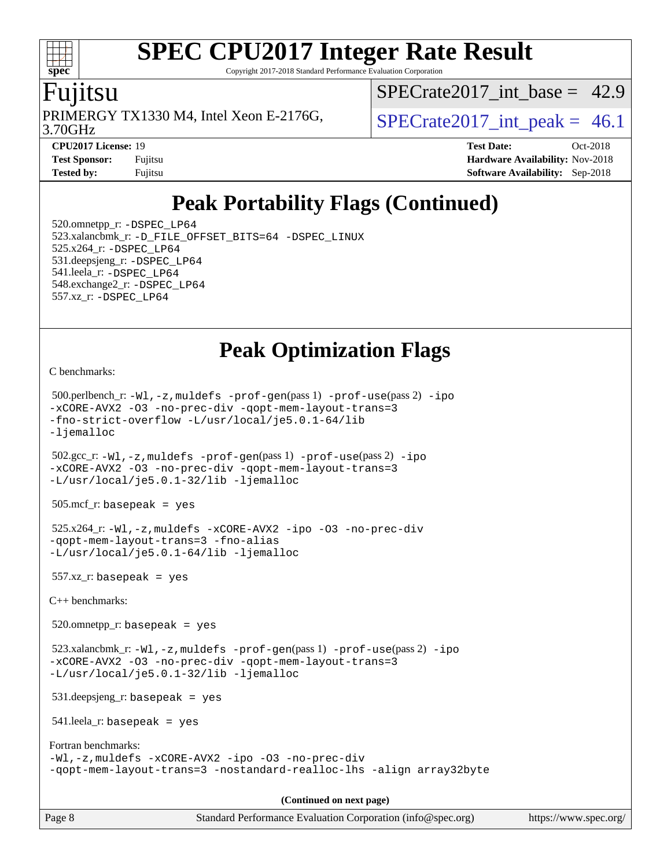Copyright 2017-2018 Standard Performance Evaluation Corporation

### u<sub>11</sub>tsu

**[spec](http://www.spec.org/)**

 $\pm\pm$ 

PRIMERGY TX1330 M4, Intel Xeon E-2176G,  $\vert$  SPECrate2017 int peak = 46.1

SPECrate2017 int\_base =  $42.9$ 

3.70GHz

**[CPU2017 License:](http://www.spec.org/auto/cpu2017/Docs/result-fields.html#CPU2017License)** 19 **[Test Date:](http://www.spec.org/auto/cpu2017/Docs/result-fields.html#TestDate)** Oct-2018 **[Test Sponsor:](http://www.spec.org/auto/cpu2017/Docs/result-fields.html#TestSponsor)** Fujitsu **Fundal** Fujitsu **[Hardware Availability:](http://www.spec.org/auto/cpu2017/Docs/result-fields.html#HardwareAvailability)** Nov-2018 **[Tested by:](http://www.spec.org/auto/cpu2017/Docs/result-fields.html#Testedby)** Fujitsu **[Software Availability:](http://www.spec.org/auto/cpu2017/Docs/result-fields.html#SoftwareAvailability)** Sep-2018

## **[Peak Portability Flags \(Continued\)](http://www.spec.org/auto/cpu2017/Docs/result-fields.html#PeakPortabilityFlags)**

 520.omnetpp\_r: [-DSPEC\\_LP64](http://www.spec.org/cpu2017/results/res2018q4/cpu2017-20181030-09470.flags.html#suite_peakPORTABILITY520_omnetpp_r_DSPEC_LP64) 523.xalancbmk\_r: [-D\\_FILE\\_OFFSET\\_BITS=64](http://www.spec.org/cpu2017/results/res2018q4/cpu2017-20181030-09470.flags.html#user_peakPORTABILITY523_xalancbmk_r_file_offset_bits_64_5ae949a99b284ddf4e95728d47cb0843d81b2eb0e18bdfe74bbf0f61d0b064f4bda2f10ea5eb90e1dcab0e84dbc592acfc5018bc955c18609f94ddb8d550002c) [-DSPEC\\_LINUX](http://www.spec.org/cpu2017/results/res2018q4/cpu2017-20181030-09470.flags.html#b523.xalancbmk_r_peakCXXPORTABILITY_DSPEC_LINUX) 525.x264\_r: [-DSPEC\\_LP64](http://www.spec.org/cpu2017/results/res2018q4/cpu2017-20181030-09470.flags.html#suite_peakPORTABILITY525_x264_r_DSPEC_LP64) 531.deepsjeng\_r: [-DSPEC\\_LP64](http://www.spec.org/cpu2017/results/res2018q4/cpu2017-20181030-09470.flags.html#suite_peakPORTABILITY531_deepsjeng_r_DSPEC_LP64) 541.leela\_r: [-DSPEC\\_LP64](http://www.spec.org/cpu2017/results/res2018q4/cpu2017-20181030-09470.flags.html#suite_peakPORTABILITY541_leela_r_DSPEC_LP64) 548.exchange2\_r: [-DSPEC\\_LP64](http://www.spec.org/cpu2017/results/res2018q4/cpu2017-20181030-09470.flags.html#suite_peakPORTABILITY548_exchange2_r_DSPEC_LP64) 557.xz\_r: [-DSPEC\\_LP64](http://www.spec.org/cpu2017/results/res2018q4/cpu2017-20181030-09470.flags.html#suite_peakPORTABILITY557_xz_r_DSPEC_LP64)

## **[Peak Optimization Flags](http://www.spec.org/auto/cpu2017/Docs/result-fields.html#PeakOptimizationFlags)**

[C benchmarks](http://www.spec.org/auto/cpu2017/Docs/result-fields.html#Cbenchmarks):

```
 500.perlbench_r: -Wl,-z,muldefs -prof-gen(pass 1) -prof-use(pass 2) -ipo
-xCORE-AVX2 -O3 -no-prec-div -qopt-mem-layout-trans=3
-fno-strict-overflow -L/usr/local/je5.0.1-64/lib
-ljemalloc
 502.gcc_r: -Wl,-z,muldefs -prof-gen(pass 1) -prof-use(pass 2) -ipo
-xCORE-AVX2 -O3 -no-prec-div -qopt-mem-layout-trans=3
-L/usr/local/je5.0.1-32/lib -ljemalloc
 505.mcf_r: basepeak = yes
 525.x264_r: -Wl,-z,muldefs -xCORE-AVX2 -ipo -O3 -no-prec-div
-qopt-mem-layout-trans=3 -fno-alias
-L/usr/local/je5.0.1-64/lib -ljemalloc
 557.xz_r: basepeak = yes
C++ benchmarks: 
 520.omnetpp_r: basepeak = yes
 523.xalancbmk_r: -Wl,-z,muldefs -prof-gen(pass 1) -prof-use(pass 2) -ipo
-xCORE-AVX2 -O3 -no-prec-div -qopt-mem-layout-trans=3
-L/usr/local/je5.0.1-32/lib -ljemalloc
 531.deepsjeng_r: basepeak = yes
 541.leela_r: basepeak = yes
Fortran benchmarks: 
-Wl,-z,muldefs -xCORE-AVX2 -ipo -O3 -no-prec-div
-qopt-mem-layout-trans=3 -nostandard-realloc-lhs -align array32byte
                                       (Continued on next page)
```